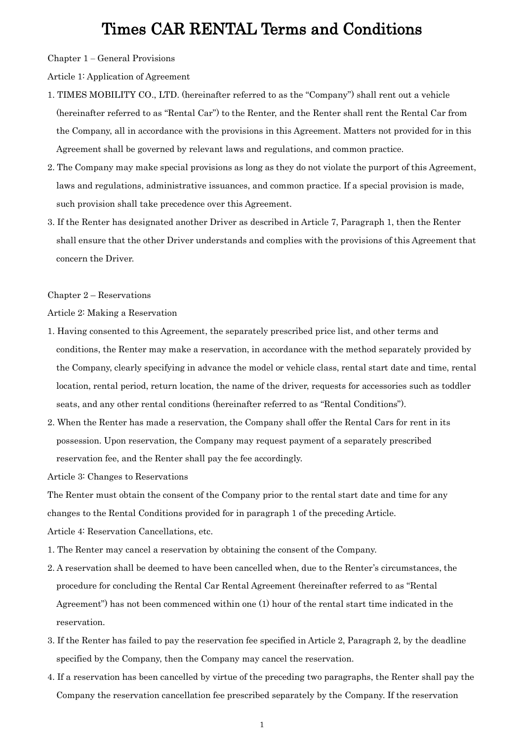Chapter 1 ‒ General Provisions

Article 1: Application of Agreement

- 1. TIMES MOBILITY CO., LTD. (hereinafter referred to as the "Company") shall rent out a vehicle (hereinafter referred to as "Rental Car") to the Renter, and the Renter shall rent the Rental Car from the Company, all in accordance with the provisions in this Agreement. Matters not provided for in this Agreement shall be governed by relevant laws and regulations, and common practice.
- 2. The Company may make special provisions as long as they do not violate the purport of this Agreement, laws and regulations, administrative issuances, and common practice. If a special provision is made, such provision shall take precedence over this Agreement.
- 3. If the Renter has designated another Driver as described in Article 7, Paragraph 1, then the Renter shall ensure that the other Driver understands and complies with the provisions of this Agreement that concern the Driver.

Chapter 2 – Reservations

Article 2: Making a Reservation

- 1. Having consented to this Agreement, the separately prescribed price list, and other terms and conditions, the Renter may make a reservation, in accordance with the method separately provided by the Company, clearly specifying in advance the model or vehicle class, rental start date and time, rental location, rental period, return location, the name of the driver, requests for accessories such as toddler seats, and any other rental conditions (hereinafter referred to as "Rental Conditions").
- 2. When the Renter has made a reservation, the Company shall offer the Rental Cars for rent in its possession. Upon reservation, the Company may request payment of a separately prescribed reservation fee, and the Renter shall pay the fee accordingly.

Article 3: Changes to Reservations

The Renter must obtain the consent of the Company prior to the rental start date and time for any changes to the Rental Conditions provided for in paragraph 1 of the preceding Article.

Article 4: Reservation Cancellations, etc.

- 1. The Renter may cancel a reservation by obtaining the consent of the Company.
- 2. A reservation shall be deemed to have been cancelled when, due to the Renter's circumstances, the procedure for concluding the Rental Car Rental Agreement (hereinafter referred to as "Rental Agreement") has not been commenced within one (1) hour of the rental start time indicated in the reservation.
- 3. If the Renter has failed to pay the reservation fee specified in Article 2, Paragraph 2, by the deadline specified by the Company, then the Company may cancel the reservation.
- 4. If a reservation has been cancelled by virtue of the preceding two paragraphs, the Renter shall pay the Company the reservation cancellation fee prescribed separately by the Company. If the reservation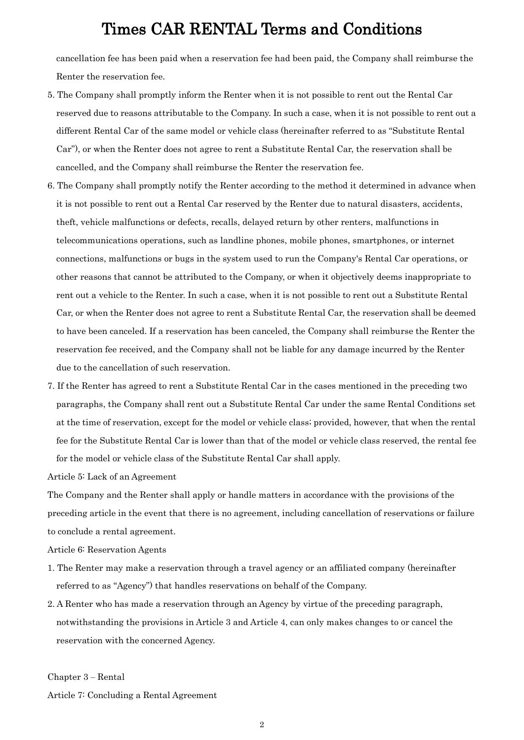cancellation fee has been paid when a reservation fee had been paid, the Company shall reimburse the Renter the reservation fee.

- 5. The Company shall promptly inform the Renter when it is not possible to rent out the Rental Car reserved due to reasons attributable to the Company. In such a case, when it is not possible to rent out a different Rental Car of the same model or vehicle class (hereinafter referred to as "Substitute Rental Car"), or when the Renter does not agree to rent a Substitute Rental Car, the reservation shall be cancelled, and the Company shall reimburse the Renter the reservation fee.
- 6. The Company shall promptly notify the Renter according to the method it determined in advance when it is not possible to rent out a Rental Car reserved by the Renter due to natural disasters, accidents, theft, vehicle malfunctions or defects, recalls, delayed return by other renters, malfunctions in telecommunications operations, such as landline phones, mobile phones, smartphones, or internet connections, malfunctions or bugs in the system used to run the Company's Rental Car operations, or other reasons that cannot be attributed to the Company, or when it objectively deems inappropriate to rent out a vehicle to the Renter. In such a case, when it is not possible to rent out a Substitute Rental Car, or when the Renter does not agree to rent a Substitute Rental Car, the reservation shall be deemed to have been canceled. If a reservation has been canceled, the Company shall reimburse the Renter the reservation fee received, and the Company shall not be liable for any damage incurred by the Renter due to the cancellation of such reservation.
- 7. If the Renter has agreed to rent a Substitute Rental Car in the cases mentioned in the preceding two paragraphs, the Company shall rent out a Substitute Rental Car under the same Rental Conditions set at the time of reservation, except for the model or vehicle class; provided, however, that when the rental fee for the Substitute Rental Car is lower than that of the model or vehicle class reserved, the rental fee for the model or vehicle class of the Substitute Rental Car shall apply.

Article 5: Lack of an Agreement

The Company and the Renter shall apply or handle matters in accordance with the provisions of the preceding article in the event that there is no agreement, including cancellation of reservations or failure to conclude a rental agreement.

Article 6: Reservation Agents

- 1. The Renter may make a reservation through a travel agency or an affiliated company (hereinafter referred to as "Agency") that handles reservations on behalf of the Company.
- 2. A Renter who has made a reservation through an Agency by virtue of the preceding paragraph, notwithstanding the provisions in Article 3 and Article 4, can only makes changes to or cancel the reservation with the concerned Agency.

Chapter 3 ‒ Rental

Article 7: Concluding a Rental Agreement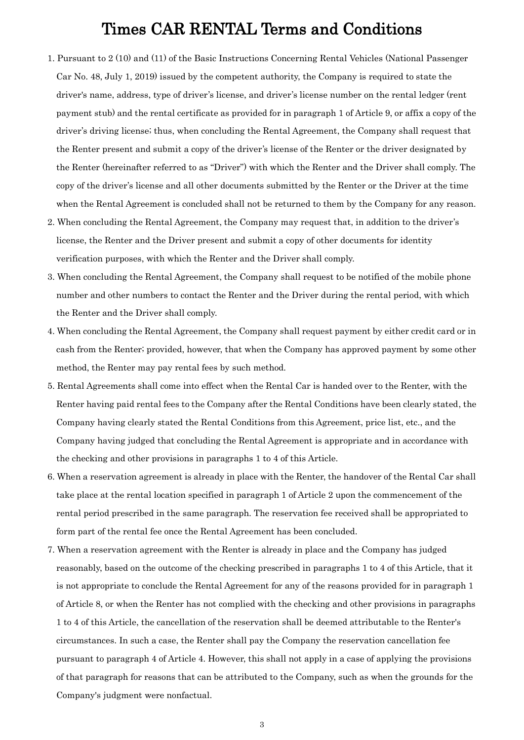- 1. Pursuant to 2 (10) and (11) of the Basic Instructions Concerning Rental Vehicles (National Passenger Car No. 48, July 1, 2019) issued by the competent authority, the Company is required to state the driver's name, address, type of driver's license, and driver's license number on the rental ledger (rent payment stub) and the rental certificate as provided for in paragraph 1 of Article 9, or affix a copy of the driver's driving license; thus, when concluding the Rental Agreement, the Company shall request that the Renter present and submit a copy of the driver's license of the Renter or the driver designated by the Renter (hereinafter referred to as "Driver") with which the Renter and the Driver shall comply. The copy of the driver's license and all other documents submitted by the Renter or the Driver at the time when the Rental Agreement is concluded shall not be returned to them by the Company for any reason.
- 2. When concluding the Rental Agreement, the Company may request that, in addition to the driver's license, the Renter and the Driver present and submit a copy of other documents for identity verification purposes, with which the Renter and the Driver shall comply.
- 3. When concluding the Rental Agreement, the Company shall request to be notified of the mobile phone number and other numbers to contact the Renter and the Driver during the rental period, with which the Renter and the Driver shall comply.
- 4. When concluding the Rental Agreement, the Company shall request payment by either credit card or in cash from the Renter; provided, however, that when the Company has approved payment by some other method, the Renter may pay rental fees by such method.
- 5. Rental Agreements shall come into effect when the Rental Car is handed over to the Renter, with the Renter having paid rental fees to the Company after the Rental Conditions have been clearly stated, the Company having clearly stated the Rental Conditions from this Agreement, price list, etc., and the Company having judged that concluding the Rental Agreement is appropriate and in accordance with the checking and other provisions in paragraphs 1 to 4 of this Article.
- 6. When a reservation agreement is already in place with the Renter, the handover of the Rental Car shall take place at the rental location specified in paragraph 1 of Article 2 upon the commencement of the rental period prescribed in the same paragraph. The reservation fee received shall be appropriated to form part of the rental fee once the Rental Agreement has been concluded.
- 7. When a reservation agreement with the Renter is already in place and the Company has judged reasonably, based on the outcome of the checking prescribed in paragraphs 1 to 4 of this Article, that it is not appropriate to conclude the Rental Agreement for any of the reasons provided for in paragraph 1 of Article 8, or when the Renter has not complied with the checking and other provisions in paragraphs 1 to 4 of this Article, the cancellation of the reservation shall be deemed attributable to the Renter's circumstances. In such a case, the Renter shall pay the Company the reservation cancellation fee pursuant to paragraph 4 of Article 4. However, this shall not apply in a case of applying the provisions of that paragraph for reasons that can be attributed to the Company, such as when the grounds for the Company's judgment were nonfactual.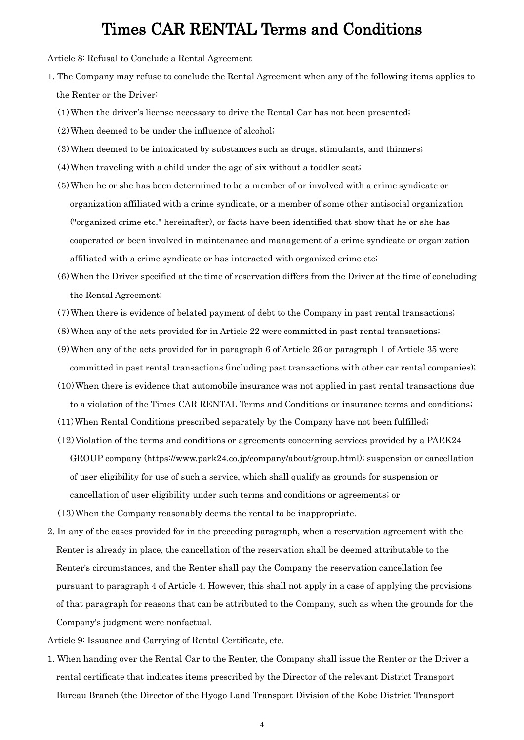Article 8: Refusal to Conclude a Rental Agreement

- 1. The Company may refuse to conclude the Rental Agreement when any of the following items applies to the Renter or the Driver:
	- (1)When the driver's license necessary to drive the Rental Car has not been presented;
	- (2)When deemed to be under the influence of alcohol;
	- (3)When deemed to be intoxicated by substances such as drugs, stimulants, and thinners;
	- (4)When traveling with a child under the age of six without a toddler seat;
	- (5)When he or she has been determined to be a member of or involved with a crime syndicate or organization affiliated with a crime syndicate, or a member of some other antisocial organization ("organized crime etc." hereinafter), or facts have been identified that show that he or she has cooperated or been involved in maintenance and management of a crime syndicate or organization affiliated with a crime syndicate or has interacted with organized crime etc;
	- (6)When the Driver specified at the time of reservation differs from the Driver at the time of concluding the Rental Agreement;
	- (7)When there is evidence of belated payment of debt to the Company in past rental transactions;
	- (8)When any of the acts provided for in Article 22 were committed in past rental transactions;
	- (9)When any of the acts provided for in paragraph 6 of Article 26 or paragraph 1 of Article 35 were committed in past rental transactions (including past transactions with other car rental companies);
	- (10)When there is evidence that automobile insurance was not applied in past rental transactions due to a violation of the Times CAR RENTAL Terms and Conditions or insurance terms and conditions;
	- (11)When Rental Conditions prescribed separately by the Company have not been fulfilled;
	- (12)Violation of the terms and conditions or agreements concerning services provided by a PARK24 GROUP company (https://www.park24.co.jp/company/about/group.html); suspension or cancellation of user eligibility for use of such a service, which shall qualify as grounds for suspension or cancellation of user eligibility under such terms and conditions or agreements; or
	- (13)When the Company reasonably deems the rental to be inappropriate.
- 2. In any of the cases provided for in the preceding paragraph, when a reservation agreement with the Renter is already in place, the cancellation of the reservation shall be deemed attributable to the Renter's circumstances, and the Renter shall pay the Company the reservation cancellation fee pursuant to paragraph 4 of Article 4. However, this shall not apply in a case of applying the provisions of that paragraph for reasons that can be attributed to the Company, such as when the grounds for the Company's judgment were nonfactual.
- Article 9: Issuance and Carrying of Rental Certificate, etc.
- 1. When handing over the Rental Car to the Renter, the Company shall issue the Renter or the Driver a rental certificate that indicates items prescribed by the Director of the relevant District Transport Bureau Branch (the Director of the Hyogo Land Transport Division of the Kobe District Transport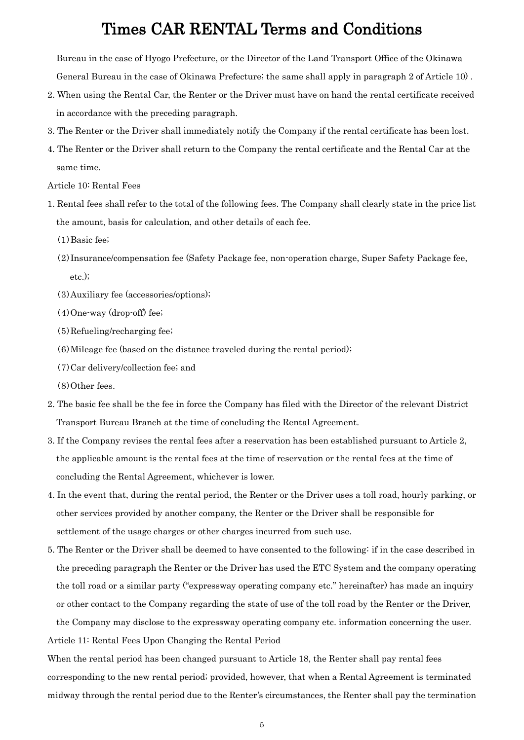Bureau in the case of Hyogo Prefecture, or the Director of the Land Transport Office of the Okinawa General Bureau in the case of Okinawa Prefecture; the same shall apply in paragraph 2 of Article 10) .

- 2. When using the Rental Car, the Renter or the Driver must have on hand the rental certificate received in accordance with the preceding paragraph.
- 3. The Renter or the Driver shall immediately notify the Company if the rental certificate has been lost.
- 4. The Renter or the Driver shall return to the Company the rental certificate and the Rental Car at the same time.

Article 10: Rental Fees

- 1. Rental fees shall refer to the total of the following fees. The Company shall clearly state in the price list the amount, basis for calculation, and other details of each fee.
	- (1)Basic fee;
	- (2)Insurance/compensation fee (Safety Package fee, non-operation charge, Super Safety Package fee, etc.);
	- (3)Auxiliary fee (accessories/options);
	- (4)One-way (drop-off) fee;
	- (5)Refueling/recharging fee;
	- (6)Mileage fee (based on the distance traveled during the rental period);
	- (7)Car delivery/collection fee; and
	- (8)Other fees.
- 2. The basic fee shall be the fee in force the Company has filed with the Director of the relevant District Transport Bureau Branch at the time of concluding the Rental Agreement.
- 3. If the Company revises the rental fees after a reservation has been established pursuant to Article 2, the applicable amount is the rental fees at the time of reservation or the rental fees at the time of concluding the Rental Agreement, whichever is lower.
- 4. In the event that, during the rental period, the Renter or the Driver uses a toll road, hourly parking, or other services provided by another company, the Renter or the Driver shall be responsible for settlement of the usage charges or other charges incurred from such use.
- 5. The Renter or the Driver shall be deemed to have consented to the following: if in the case described in the preceding paragraph the Renter or the Driver has used the ETC System and the company operating the toll road or a similar party ("expressway operating company etc." hereinafter) has made an inquiry or other contact to the Company regarding the state of use of the toll road by the Renter or the Driver, the Company may disclose to the expressway operating company etc. information concerning the user.

Article 11: Rental Fees Upon Changing the Rental Period

When the rental period has been changed pursuant to Article 18, the Renter shall pay rental fees corresponding to the new rental period; provided, however, that when a Rental Agreement is terminated midway through the rental period due to the Renter's circumstances, the Renter shall pay the termination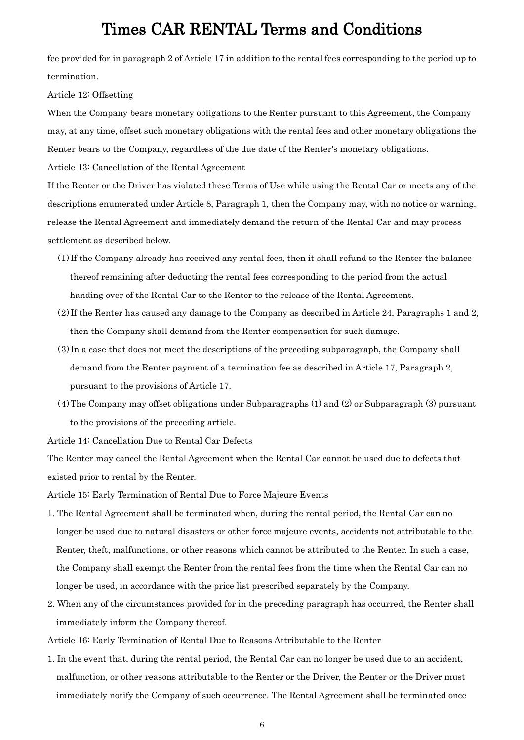fee provided for in paragraph 2 of Article 17 in addition to the rental fees corresponding to the period up to termination.

Article 12: Offsetting

When the Company bears monetary obligations to the Renter pursuant to this Agreement, the Company may, at any time, offset such monetary obligations with the rental fees and other monetary obligations the Renter bears to the Company, regardless of the due date of the Renter's monetary obligations.

Article 13: Cancellation of the Rental Agreement

If the Renter or the Driver has violated these Terms of Use while using the Rental Car or meets any of the descriptions enumerated under Article 8, Paragraph 1, then the Company may, with no notice or warning, release the Rental Agreement and immediately demand the return of the Rental Car and may process settlement as described below.

- (1)If the Company already has received any rental fees, then it shall refund to the Renter the balance thereof remaining after deducting the rental fees corresponding to the period from the actual handing over of the Rental Car to the Renter to the release of the Rental Agreement.
- (2)If the Renter has caused any damage to the Company as described in Article 24, Paragraphs 1 and 2, then the Company shall demand from the Renter compensation for such damage.
- (3)In a case that does not meet the descriptions of the preceding subparagraph, the Company shall demand from the Renter payment of a termination fee as described in Article 17, Paragraph 2, pursuant to the provisions of Article 17.
- (4)The Company may offset obligations under Subparagraphs (1) and (2) or Subparagraph (3) pursuant to the provisions of the preceding article.

Article 14: Cancellation Due to Rental Car Defects

The Renter may cancel the Rental Agreement when the Rental Car cannot be used due to defects that existed prior to rental by the Renter.

Article 15: Early Termination of Rental Due to Force Majeure Events

- 1. The Rental Agreement shall be terminated when, during the rental period, the Rental Car can no longer be used due to natural disasters or other force majeure events, accidents not attributable to the Renter, theft, malfunctions, or other reasons which cannot be attributed to the Renter. In such a case, the Company shall exempt the Renter from the rental fees from the time when the Rental Car can no longer be used, in accordance with the price list prescribed separately by the Company.
- 2. When any of the circumstances provided for in the preceding paragraph has occurred, the Renter shall immediately inform the Company thereof.

Article 16: Early Termination of Rental Due to Reasons Attributable to the Renter

1. In the event that, during the rental period, the Rental Car can no longer be used due to an accident, malfunction, or other reasons attributable to the Renter or the Driver, the Renter or the Driver must immediately notify the Company of such occurrence. The Rental Agreement shall be terminated once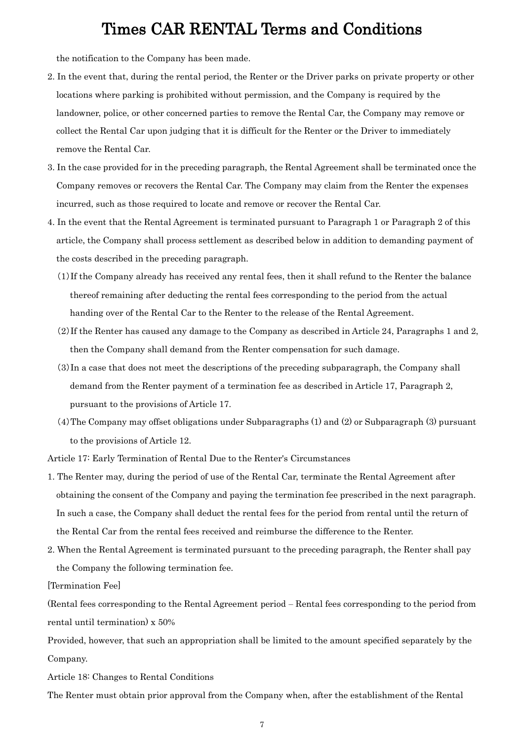the notification to the Company has been made.

- 2. In the event that, during the rental period, the Renter or the Driver parks on private property or other locations where parking is prohibited without permission, and the Company is required by the landowner, police, or other concerned parties to remove the Rental Car, the Company may remove or collect the Rental Car upon judging that it is difficult for the Renter or the Driver to immediately remove the Rental Car.
- 3. In the case provided for in the preceding paragraph, the Rental Agreement shall be terminated once the Company removes or recovers the Rental Car. The Company may claim from the Renter the expenses incurred, such as those required to locate and remove or recover the Rental Car.
- 4. In the event that the Rental Agreement is terminated pursuant to Paragraph 1 or Paragraph 2 of this article, the Company shall process settlement as described below in addition to demanding payment of the costs described in the preceding paragraph.
	- (1)If the Company already has received any rental fees, then it shall refund to the Renter the balance thereof remaining after deducting the rental fees corresponding to the period from the actual handing over of the Rental Car to the Renter to the release of the Rental Agreement.
	- (2)If the Renter has caused any damage to the Company as described in Article 24, Paragraphs 1 and 2, then the Company shall demand from the Renter compensation for such damage.
	- (3)In a case that does not meet the descriptions of the preceding subparagraph, the Company shall demand from the Renter payment of a termination fee as described in Article 17, Paragraph 2, pursuant to the provisions of Article 17.
	- (4)The Company may offset obligations under Subparagraphs (1) and (2) or Subparagraph (3) pursuant to the provisions of Article 12.

Article 17: Early Termination of Rental Due to the Renter's Circumstances

- 1. The Renter may, during the period of use of the Rental Car, terminate the Rental Agreement after obtaining the consent of the Company and paying the termination fee prescribed in the next paragraph. In such a case, the Company shall deduct the rental fees for the period from rental until the return of the Rental Car from the rental fees received and reimburse the difference to the Renter.
- 2. When the Rental Agreement is terminated pursuant to the preceding paragraph, the Renter shall pay the Company the following termination fee.

[Termination Fee]

(Rental fees corresponding to the Rental Agreement period ‒ Rental fees corresponding to the period from rental until termination) x 50%

Provided, however, that such an appropriation shall be limited to the amount specified separately by the Company.

Article 18: Changes to Rental Conditions

The Renter must obtain prior approval from the Company when, after the establishment of the Rental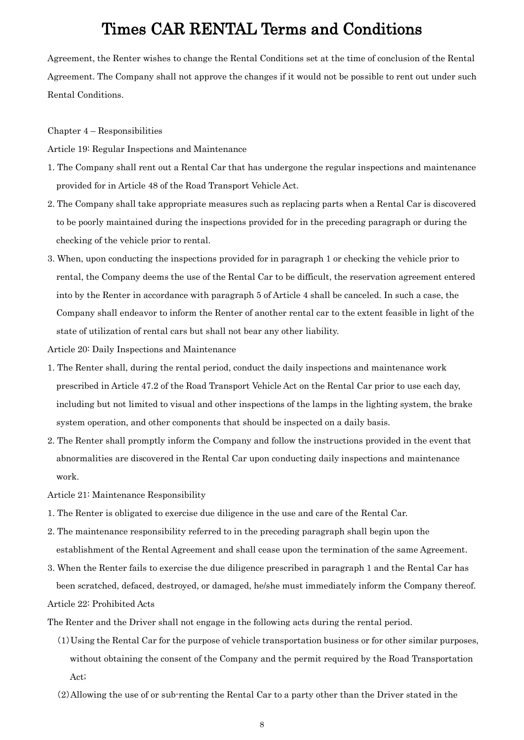Agreement, the Renter wishes to change the Rental Conditions set at the time of conclusion of the Rental Agreement. The Company shall not approve the changes if it would not be possible to rent out under such Rental Conditions.

Chapter 4 – Responsibilities

Article 19: Regular Inspections and Maintenance

- 1. The Company shall rent out a Rental Car that has undergone the regular inspections and maintenance provided for in Article 48 of the Road Transport Vehicle Act.
- 2. The Company shall take appropriate measures such as replacing parts when a Rental Car is discovered to be poorly maintained during the inspections provided for in the preceding paragraph or during the checking of the vehicle prior to rental.
- 3. When, upon conducting the inspections provided for in paragraph 1 or checking the vehicle prior to rental, the Company deems the use of the Rental Car to be difficult, the reservation agreement entered into by the Renter in accordance with paragraph 5 of Article 4 shall be canceled. In such a case, the Company shall endeavor to inform the Renter of another rental car to the extent feasible in light of the state of utilization of rental cars but shall not bear any other liability.

Article 20: Daily Inspections and Maintenance

- 1. The Renter shall, during the rental period, conduct the daily inspections and maintenance work prescribed in Article 47.2 of the Road Transport Vehicle Act on the Rental Car prior to use each day, including but not limited to visual and other inspections of the lamps in the lighting system, the brake system operation, and other components that should be inspected on a daily basis.
- 2. The Renter shall promptly inform the Company and follow the instructions provided in the event that abnormalities are discovered in the Rental Car upon conducting daily inspections and maintenance work.

Article 21: Maintenance Responsibility

- 1. The Renter is obligated to exercise due diligence in the use and care of the Rental Car.
- 2. The maintenance responsibility referred to in the preceding paragraph shall begin upon the establishment of the Rental Agreement and shall cease upon the termination of the same Agreement.
- 3. When the Renter fails to exercise the due diligence prescribed in paragraph 1 and the Rental Car has been scratched, defaced, destroyed, or damaged, he/she must immediately inform the Company thereof. Article 22: Prohibited Acts

The Renter and the Driver shall not engage in the following acts during the rental period.

- (1)Using the Rental Car for the purpose of vehicle transportation business or for other similar purposes, without obtaining the consent of the Company and the permit required by the Road Transportation Act;
- (2)Allowing the use of or sub-renting the Rental Car to a party other than the Driver stated in the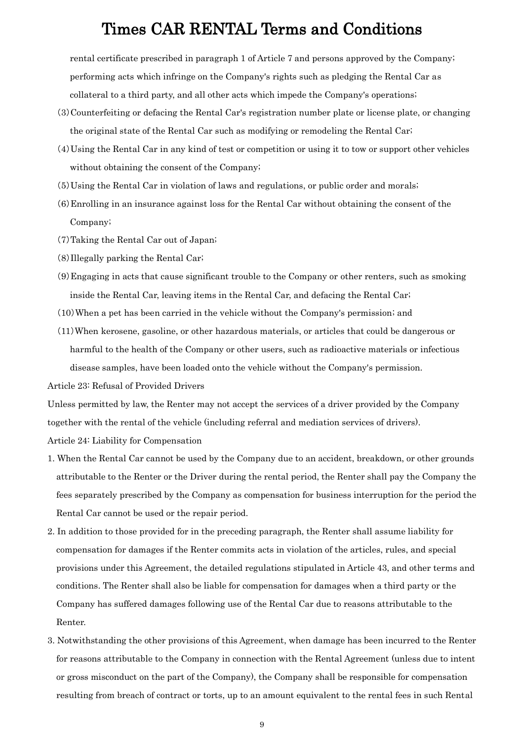rental certificate prescribed in paragraph 1 of Article 7 and persons approved by the Company; performing acts which infringe on the Company's rights such as pledging the Rental Car as collateral to a third party, and all other acts which impede the Company's operations;

- (3)Counterfeiting or defacing the Rental Car's registration number plate or license plate, or changing the original state of the Rental Car such as modifying or remodeling the Rental Car;
- (4)Using the Rental Car in any kind of test or competition or using it to tow or support other vehicles without obtaining the consent of the Company;
- (5)Using the Rental Car in violation of laws and regulations, or public order and morals;
- (6)Enrolling in an insurance against loss for the Rental Car without obtaining the consent of the Company;
- (7)Taking the Rental Car out of Japan;
- (8)Illegally parking the Rental Car;
- (9)Engaging in acts that cause significant trouble to the Company or other renters, such as smoking inside the Rental Car, leaving items in the Rental Car, and defacing the Rental Car;
- (10)When a pet has been carried in the vehicle without the Company's permission; and
- (11)When kerosene, gasoline, or other hazardous materials, or articles that could be dangerous or harmful to the health of the Company or other users, such as radioactive materials or infectious disease samples, have been loaded onto the vehicle without the Company's permission.

Article 23: Refusal of Provided Drivers

Unless permitted by law, the Renter may not accept the services of a driver provided by the Company together with the rental of the vehicle (including referral and mediation services of drivers). Article 24: Liability for Compensation

- 1. When the Rental Car cannot be used by the Company due to an accident, breakdown, or other grounds attributable to the Renter or the Driver during the rental period, the Renter shall pay the Company the fees separately prescribed by the Company as compensation for business interruption for the period the Rental Car cannot be used or the repair period.
- 2. In addition to those provided for in the preceding paragraph, the Renter shall assume liability for compensation for damages if the Renter commits acts in violation of the articles, rules, and special provisions under this Agreement, the detailed regulations stipulated in Article 43, and other terms and conditions. The Renter shall also be liable for compensation for damages when a third party or the Company has suffered damages following use of the Rental Car due to reasons attributable to the Renter.
- 3. Notwithstanding the other provisions of this Agreement, when damage has been incurred to the Renter for reasons attributable to the Company in connection with the Rental Agreement (unless due to intent or gross misconduct on the part of the Company), the Company shall be responsible for compensation resulting from breach of contract or torts, up to an amount equivalent to the rental fees in such Rental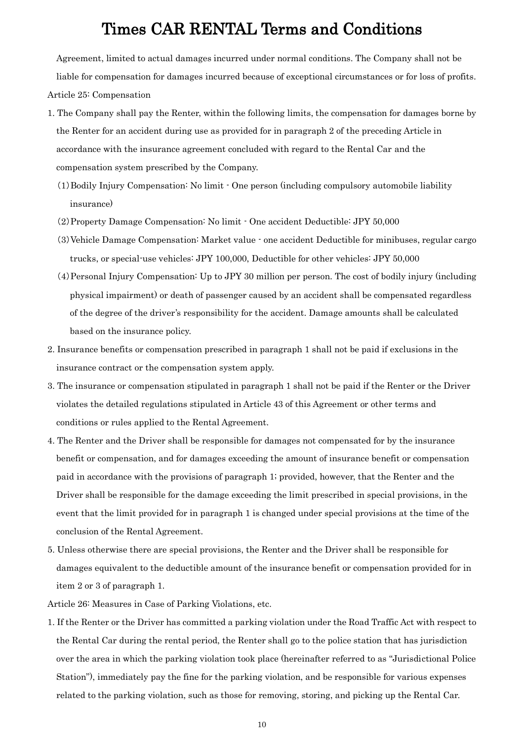Agreement, limited to actual damages incurred under normal conditions. The Company shall not be

liable for compensation for damages incurred because of exceptional circumstances or for loss of profits. Article 25: Compensation

- 1. The Company shall pay the Renter, within the following limits, the compensation for damages borne by the Renter for an accident during use as provided for in paragraph 2 of the preceding Article in accordance with the insurance agreement concluded with regard to the Rental Car and the compensation system prescribed by the Company.
	- (1)Bodily Injury Compensation: No limit One person (including compulsory automobile liability insurance)
	- (2)Property Damage Compensation: No limit One accident Deductible: JPY 50,000
	- (3)Vehicle Damage Compensation: Market value one accident Deductible for minibuses, regular cargo trucks, or special-use vehicles: JPY 100,000, Deductible for other vehicles: JPY 50,000
	- (4)Personal Injury Compensation: Up to JPY 30 million per person. The cost of bodily injury (including physical impairment) or death of passenger caused by an accident shall be compensated regardless of the degree of the driver's responsibility for the accident. Damage amounts shall be calculated based on the insurance policy.
- 2. Insurance benefits or compensation prescribed in paragraph 1 shall not be paid if exclusions in the insurance contract or the compensation system apply.
- 3. The insurance or compensation stipulated in paragraph 1 shall not be paid if the Renter or the Driver violates the detailed regulations stipulated in Article 43 of this Agreement or other terms and conditions or rules applied to the Rental Agreement.
- 4. The Renter and the Driver shall be responsible for damages not compensated for by the insurance benefit or compensation, and for damages exceeding the amount of insurance benefit or compensation paid in accordance with the provisions of paragraph 1; provided, however, that the Renter and the Driver shall be responsible for the damage exceeding the limit prescribed in special provisions, in the event that the limit provided for in paragraph 1 is changed under special provisions at the time of the conclusion of the Rental Agreement.
- 5. Unless otherwise there are special provisions, the Renter and the Driver shall be responsible for damages equivalent to the deductible amount of the insurance benefit or compensation provided for in item 2 or 3 of paragraph 1.
- Article 26: Measures in Case of Parking Violations, etc.
- 1. If the Renter or the Driver has committed a parking violation under the Road Traffic Act with respect to the Rental Car during the rental period, the Renter shall go to the police station that has jurisdiction over the area in which the parking violation took place (hereinafter referred to as "Jurisdictional Police Station"), immediately pay the fine for the parking violation, and be responsible for various expenses related to the parking violation, such as those for removing, storing, and picking up the Rental Car.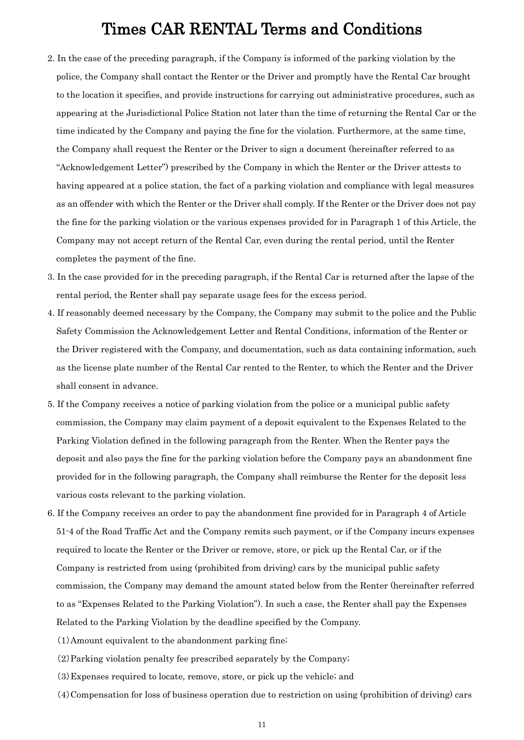- 2. In the case of the preceding paragraph, if the Company is informed of the parking violation by the police, the Company shall contact the Renter or the Driver and promptly have the Rental Car brought to the location it specifies, and provide instructions for carrying out administrative procedures, such as appearing at the Jurisdictional Police Station not later than the time of returning the Rental Car or the time indicated by the Company and paying the fine for the violation. Furthermore, at the same time, the Company shall request the Renter or the Driver to sign a document (hereinafter referred to as "Acknowledgement Letter") prescribed by the Company in which the Renter or the Driver attests to having appeared at a police station, the fact of a parking violation and compliance with legal measures as an offender with which the Renter or the Driver shall comply. If the Renter or the Driver does not pay the fine for the parking violation or the various expenses provided for in Paragraph 1 of this Article, the Company may not accept return of the Rental Car, even during the rental period, until the Renter completes the payment of the fine.
- 3. In the case provided for in the preceding paragraph, if the Rental Car is returned after the lapse of the rental period, the Renter shall pay separate usage fees for the excess period.
- 4. If reasonably deemed necessary by the Company, the Company may submit to the police and the Public Safety Commission the Acknowledgement Letter and Rental Conditions, information of the Renter or the Driver registered with the Company, and documentation, such as data containing information, such as the license plate number of the Rental Car rented to the Renter, to which the Renter and the Driver shall consent in advance.
- 5. If the Company receives a notice of parking violation from the police or a municipal public safety commission, the Company may claim payment of a deposit equivalent to the Expenses Related to the Parking Violation defined in the following paragraph from the Renter. When the Renter pays the deposit and also pays the fine for the parking violation before the Company pays an abandonment fine provided for in the following paragraph, the Company shall reimburse the Renter for the deposit less various costs relevant to the parking violation.
- 6. If the Company receives an order to pay the abandonment fine provided for in Paragraph 4 of Article 51-4 of the Road Traffic Act and the Company remits such payment, or if the Company incurs expenses required to locate the Renter or the Driver or remove, store, or pick up the Rental Car, or if the Company is restricted from using (prohibited from driving) cars by the municipal public safety commission, the Company may demand the amount stated below from the Renter (hereinafter referred to as "Expenses Related to the Parking Violation"). In such a case, the Renter shall pay the Expenses Related to the Parking Violation by the deadline specified by the Company.
	- (1)Amount equivalent to the abandonment parking fine;
	- (2)Parking violation penalty fee prescribed separately by the Company;
	- (3)Expenses required to locate, remove, store, or pick up the vehicle; and
	- (4)Compensation for loss of business operation due to restriction on using (prohibition of driving) cars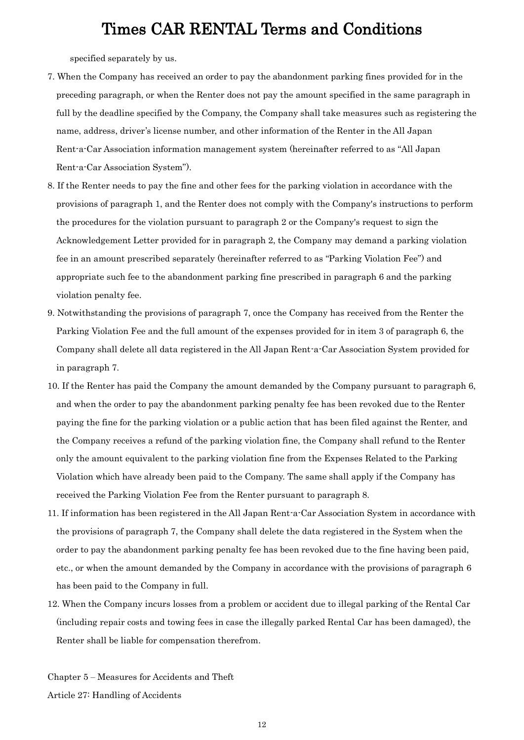specified separately by us.

- 7. When the Company has received an order to pay the abandonment parking fines provided for in the preceding paragraph, or when the Renter does not pay the amount specified in the same paragraph in full by the deadline specified by the Company, the Company shall take measures such as registering the name, address, driver's license number, and other information of the Renter in the All Japan Rent-a-Car Association information management system (hereinafter referred to as "All Japan Rent-a-Car Association System").
- 8. If the Renter needs to pay the fine and other fees for the parking violation in accordance with the provisions of paragraph 1, and the Renter does not comply with the Company's instructions to perform the procedures for the violation pursuant to paragraph 2 or the Company's request to sign the Acknowledgement Letter provided for in paragraph 2, the Company may demand a parking violation fee in an amount prescribed separately (hereinafter referred to as "Parking Violation Fee") and appropriate such fee to the abandonment parking fine prescribed in paragraph 6 and the parking violation penalty fee.
- 9. Notwithstanding the provisions of paragraph 7, once the Company has received from the Renter the Parking Violation Fee and the full amount of the expenses provided for in item 3 of paragraph 6, the Company shall delete all data registered in the All Japan Rent-a-Car Association System provided for in paragraph 7.
- 10. If the Renter has paid the Company the amount demanded by the Company pursuant to paragraph 6, and when the order to pay the abandonment parking penalty fee has been revoked due to the Renter paying the fine for the parking violation or a public action that has been filed against the Renter, and the Company receives a refund of the parking violation fine, the Company shall refund to the Renter only the amount equivalent to the parking violation fine from the Expenses Related to the Parking Violation which have already been paid to the Company. The same shall apply if the Company has received the Parking Violation Fee from the Renter pursuant to paragraph 8.
- 11. If information has been registered in the All Japan Rent-a-Car Association System in accordance with the provisions of paragraph 7, the Company shall delete the data registered in the System when the order to pay the abandonment parking penalty fee has been revoked due to the fine having been paid, etc., or when the amount demanded by the Company in accordance with the provisions of paragraph 6 has been paid to the Company in full.
- 12. When the Company incurs losses from a problem or accident due to illegal parking of the Rental Car (including repair costs and towing fees in case the illegally parked Rental Car has been damaged), the Renter shall be liable for compensation therefrom.

Chapter 5 ‒ Measures for Accidents and Theft Article 27: Handling of Accidents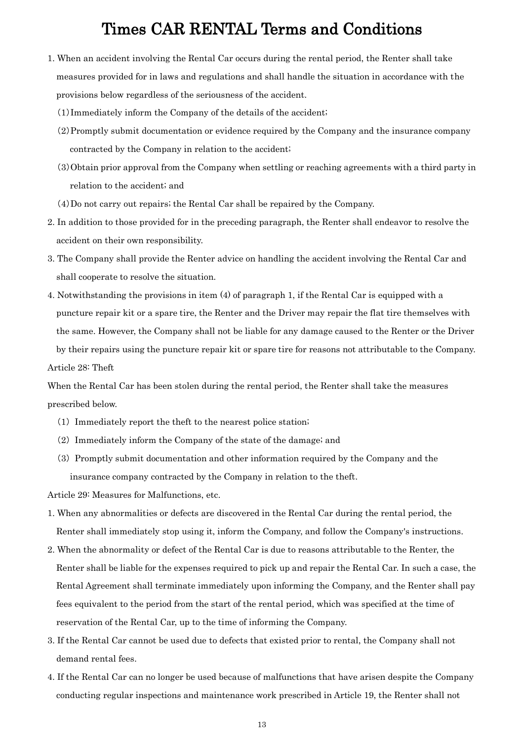- 1. When an accident involving the Rental Car occurs during the rental period, the Renter shall take measures provided for in laws and regulations and shall handle the situation in accordance with the provisions below regardless of the seriousness of the accident.
	- (1)Immediately inform the Company of the details of the accident;
	- (2)Promptly submit documentation or evidence required by the Company and the insurance company contracted by the Company in relation to the accident;
	- (3)Obtain prior approval from the Company when settling or reaching agreements with a third party in relation to the accident; and

(4)Do not carry out repairs; the Rental Car shall be repaired by the Company.

- 2. In addition to those provided for in the preceding paragraph, the Renter shall endeavor to resolve the accident on their own responsibility.
- 3. The Company shall provide the Renter advice on handling the accident involving the Rental Car and shall cooperate to resolve the situation.
- 4. Notwithstanding the provisions in item (4) of paragraph 1, if the Rental Car is equipped with a puncture repair kit or a spare tire, the Renter and the Driver may repair the flat tire themselves with the same. However, the Company shall not be liable for any damage caused to the Renter or the Driver by their repairs using the puncture repair kit or spare tire for reasons not attributable to the Company. Article 28: Theft

When the Rental Car has been stolen during the rental period, the Renter shall take the measures prescribed below.

- (1) Immediately report the theft to the nearest police station;
- (2) Immediately inform the Company of the state of the damage; and
- (3) Promptly submit documentation and other information required by the Company and the insurance company contracted by the Company in relation to the theft.

Article 29: Measures for Malfunctions, etc.

- 1. When any abnormalities or defects are discovered in the Rental Car during the rental period, the Renter shall immediately stop using it, inform the Company, and follow the Company's instructions.
- 2. When the abnormality or defect of the Rental Car is due to reasons attributable to the Renter, the Renter shall be liable for the expenses required to pick up and repair the Rental Car. In such a case, the Rental Agreement shall terminate immediately upon informing the Company, and the Renter shall pay fees equivalent to the period from the start of the rental period, which was specified at the time of reservation of the Rental Car, up to the time of informing the Company.
- 3. If the Rental Car cannot be used due to defects that existed prior to rental, the Company shall not demand rental fees.
- 4. If the Rental Car can no longer be used because of malfunctions that have arisen despite the Company conducting regular inspections and maintenance work prescribed in Article 19, the Renter shall not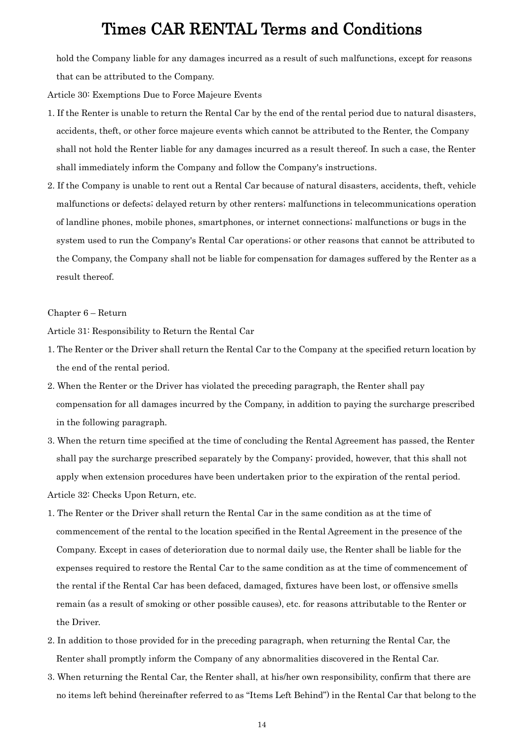hold the Company liable for any damages incurred as a result of such malfunctions, except for reasons that can be attributed to the Company.

Article 30: Exemptions Due to Force Majeure Events

- 1. If the Renter is unable to return the Rental Car by the end of the rental period due to natural disasters, accidents, theft, or other force majeure events which cannot be attributed to the Renter, the Company shall not hold the Renter liable for any damages incurred as a result thereof. In such a case, the Renter shall immediately inform the Company and follow the Company's instructions.
- 2. If the Company is unable to rent out a Rental Car because of natural disasters, accidents, theft, vehicle malfunctions or defects; delayed return by other renters; malfunctions in telecommunications operation of landline phones, mobile phones, smartphones, or internet connections; malfunctions or bugs in the system used to run the Company's Rental Car operations; or other reasons that cannot be attributed to the Company, the Company shall not be liable for compensation for damages suffered by the Renter as a result thereof.

#### Chapter 6 – Return

Article 31: Responsibility to Return the Rental Car

- 1. The Renter or the Driver shall return the Rental Car to the Company at the specified return location by the end of the rental period.
- 2. When the Renter or the Driver has violated the preceding paragraph, the Renter shall pay compensation for all damages incurred by the Company, in addition to paying the surcharge prescribed in the following paragraph.
- 3. When the return time specified at the time of concluding the Rental Agreement has passed, the Renter shall pay the surcharge prescribed separately by the Company; provided, however, that this shall not apply when extension procedures have been undertaken prior to the expiration of the rental period. Article 32: Checks Upon Return, etc.
- 1. The Renter or the Driver shall return the Rental Car in the same condition as at the time of commencement of the rental to the location specified in the Rental Agreement in the presence of the Company. Except in cases of deterioration due to normal daily use, the Renter shall be liable for the expenses required to restore the Rental Car to the same condition as at the time of commencement of the rental if the Rental Car has been defaced, damaged, fixtures have been lost, or offensive smells remain (as a result of smoking or other possible causes), etc. for reasons attributable to the Renter or the Driver.
- 2. In addition to those provided for in the preceding paragraph, when returning the Rental Car, the Renter shall promptly inform the Company of any abnormalities discovered in the Rental Car.
- 3. When returning the Rental Car, the Renter shall, at his/her own responsibility, confirm that there are no items left behind (hereinafter referred to as "Items Left Behind") in the Rental Car that belong to the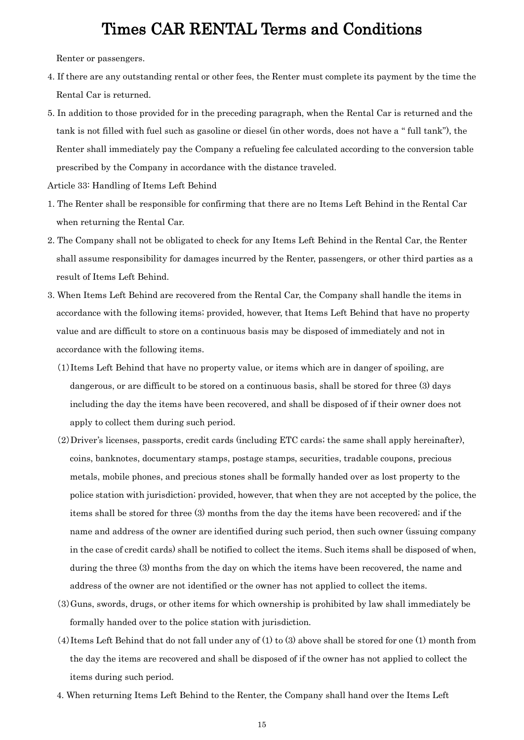Renter or passengers.

- 4. If there are any outstanding rental or other fees, the Renter must complete its payment by the time the Rental Car is returned.
- 5. In addition to those provided for in the preceding paragraph, when the Rental Car is returned and the tank is not filled with fuel such as gasoline or diesel (in other words, does not have a " full tank"), the Renter shall immediately pay the Company a refueling fee calculated according to the conversion table prescribed by the Company in accordance with the distance traveled.

Article 33: Handling of Items Left Behind

- 1. The Renter shall be responsible for confirming that there are no Items Left Behind in the Rental Car when returning the Rental Car.
- 2. The Company shall not be obligated to check for any Items Left Behind in the Rental Car, the Renter shall assume responsibility for damages incurred by the Renter, passengers, or other third parties as a result of Items Left Behind.
- 3. When Items Left Behind are recovered from the Rental Car, the Company shall handle the items in accordance with the following items; provided, however, that Items Left Behind that have no property value and are difficult to store on a continuous basis may be disposed of immediately and not in accordance with the following items.
	- (1)Items Left Behind that have no property value, or items which are in danger of spoiling, are dangerous, or are difficult to be stored on a continuous basis, shall be stored for three (3) days including the day the items have been recovered, and shall be disposed of if their owner does not apply to collect them during such period.
	- (2)Driver's licenses, passports, credit cards (including ETC cards; the same shall apply hereinafter), coins, banknotes, documentary stamps, postage stamps, securities, tradable coupons, precious metals, mobile phones, and precious stones shall be formally handed over as lost property to the police station with jurisdiction; provided, however, that when they are not accepted by the police, the items shall be stored for three (3) months from the day the items have been recovered; and if the name and address of the owner are identified during such period, then such owner (issuing company in the case of credit cards) shall be notified to collect the items. Such items shall be disposed of when, during the three (3) months from the day on which the items have been recovered, the name and address of the owner are not identified or the owner has not applied to collect the items.
	- (3)Guns, swords, drugs, or other items for which ownership is prohibited by law shall immediately be formally handed over to the police station with jurisdiction.
	- (4)Items Left Behind that do not fall under any of (1) to (3) above shall be stored for one (1) month from the day the items are recovered and shall be disposed of if the owner has not applied to collect the items during such period.
	- 4. When returning Items Left Behind to the Renter, the Company shall hand over the Items Left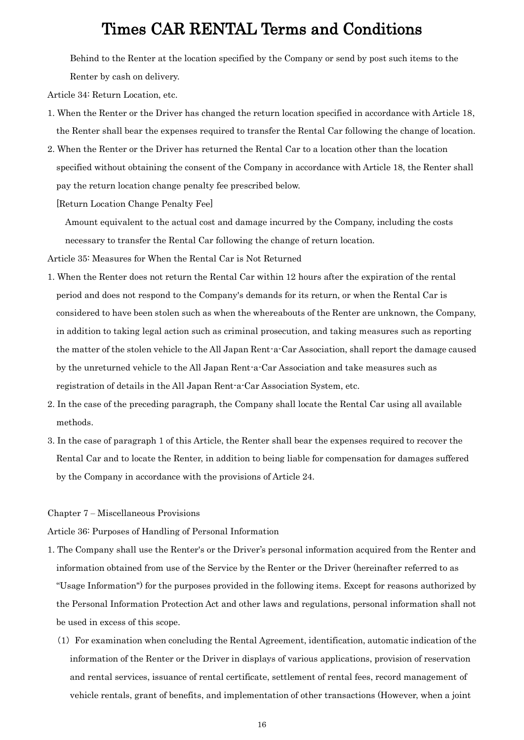Behind to the Renter at the location specified by the Company or send by post such items to the Renter by cash on delivery.

Article 34: Return Location, etc.

- 1. When the Renter or the Driver has changed the return location specified in accordance with Article 18, the Renter shall bear the expenses required to transfer the Rental Car following the change of location.
- 2. When the Renter or the Driver has returned the Rental Car to a location other than the location specified without obtaining the consent of the Company in accordance with Article 18, the Renter shall pay the return location change penalty fee prescribed below.

[Return Location Change Penalty Fee]

Amount equivalent to the actual cost and damage incurred by the Company, including the costs necessary to transfer the Rental Car following the change of return location.

Article 35: Measures for When the Rental Car is Not Returned

- 1. When the Renter does not return the Rental Car within 12 hours after the expiration of the rental period and does not respond to the Company's demands for its return, or when the Rental Car is considered to have been stolen such as when the whereabouts of the Renter are unknown, the Company, in addition to taking legal action such as criminal prosecution, and taking measures such as reporting the matter of the stolen vehicle to the All Japan Rent-a-Car Association, shall report the damage caused by the unreturned vehicle to the All Japan Rent-a-Car Association and take measures such as registration of details in the All Japan Rent-a-Car Association System, etc.
- 2. In the case of the preceding paragraph, the Company shall locate the Rental Car using all available methods.
- 3. In the case of paragraph 1 of this Article, the Renter shall bear the expenses required to recover the Rental Car and to locate the Renter, in addition to being liable for compensation for damages suffered by the Company in accordance with the provisions of Article 24.

#### Chapter 7 ‒ Miscellaneous Provisions

Article 36: Purposes of Handling of Personal Information

- 1. The Company shall use the Renter's or the Driver's personal information acquired from the Renter and information obtained from use of the Service by the Renter or the Driver (hereinafter referred to as "Usage Information") for the purposes provided in the following items. Except for reasons authorized by the Personal Information Protection Act and other laws and regulations, personal information shall not be used in excess of this scope.
	- (1) For examination when concluding the Rental Agreement, identification, automatic indication of the information of the Renter or the Driver in displays of various applications, provision of reservation and rental services, issuance of rental certificate, settlement of rental fees, record management of vehicle rentals, grant of benefits, and implementation of other transactions (However, when a joint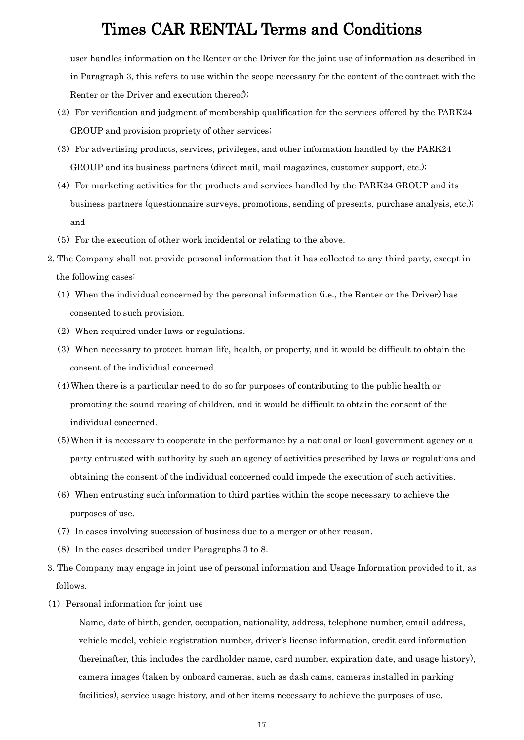user handles information on the Renter or the Driver for the joint use of information as described in in Paragraph 3, this refers to use within the scope necessary for the content of the contract with the Renter or the Driver and execution thereof);

- (2) For verification and judgment of membership qualification for the services offered by the PARK24 GROUP and provision propriety of other services;
- (3) For advertising products, services, privileges, and other information handled by the PARK24 GROUP and its business partners (direct mail, mail magazines, customer support, etc.);
- (4) For marketing activities for the products and services handled by the PARK24 GROUP and its business partners (questionnaire surveys, promotions, sending of presents, purchase analysis, etc.); and
- (5) For the execution of other work incidental or relating to the above.
- 2. The Company shall not provide personal information that it has collected to any third party, except in the following cases:
	- (1) When the individual concerned by the personal information (i.e., the Renter or the Driver) has consented to such provision.
	- (2) When required under laws or regulations.
	- (3) When necessary to protect human life, health, or property, and it would be difficult to obtain the consent of the individual concerned.
	- (4)When there is a particular need to do so for purposes of contributing to the public health or promoting the sound rearing of children, and it would be difficult to obtain the consent of the individual concerned.
	- (5)When it is necessary to cooperate in the performance by a national or local government agency or a party entrusted with authority by such an agency of activities prescribed by laws or regulations and obtaining the consent of the individual concerned could impede the execution of such activities.
	- (6) When entrusting such information to third parties within the scope necessary to achieve the purposes of use.
	- (7) In cases involving succession of business due to a merger or other reason.
	- (8) In the cases described under Paragraphs 3 to 8.
- 3. The Company may engage in joint use of personal information and Usage Information provided to it, as follows.
- (1) Personal information for joint use

Name, date of birth, gender, occupation, nationality, address, telephone number, email address, vehicle model, vehicle registration number, driver's license information, credit card information (hereinafter, this includes the cardholder name, card number, expiration date, and usage history), camera images (taken by onboard cameras, such as dash cams, cameras installed in parking facilities), service usage history, and other items necessary to achieve the purposes of use.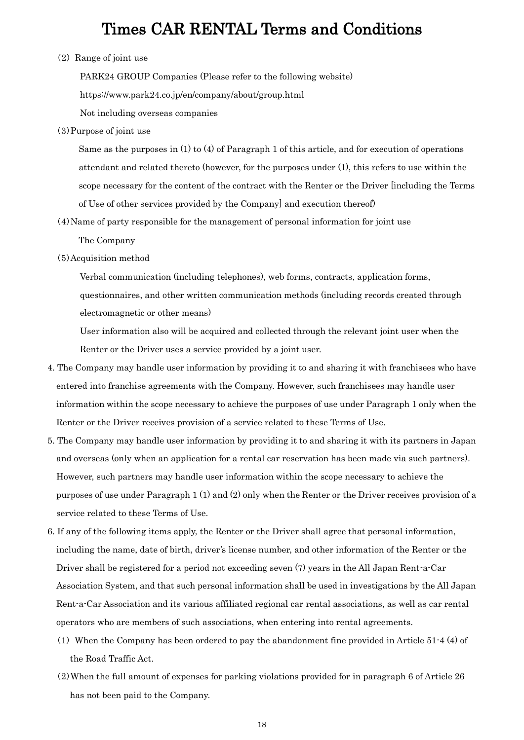(2) Range of joint use

PARK24 GROUP Companies (Please refer to the following website)

https://www.park24.co.jp/en/company/about/group.html

Not including overseas companies

(3)Purpose of joint use

Same as the purposes in (1) to (4) of Paragraph 1 of this article, and for execution of operations attendant and related thereto (however, for the purposes under (1), this refers to use within the scope necessary for the content of the contract with the Renter or the Driver [including the Terms of Use of other services provided by the Company] and execution thereof)

(4)Name of party responsible for the management of personal information for joint use

The Company

(5)Acquisition method

Verbal communication (including telephones), web forms, contracts, application forms, questionnaires, and other written communication methods (including records created through electromagnetic or other means)

User information also will be acquired and collected through the relevant joint user when the Renter or the Driver uses a service provided by a joint user.

- 4. The Company may handle user information by providing it to and sharing it with franchisees who have entered into franchise agreements with the Company. However, such franchisees may handle user information within the scope necessary to achieve the purposes of use under Paragraph 1 only when the Renter or the Driver receives provision of a service related to these Terms of Use.
- 5. The Company may handle user information by providing it to and sharing it with its partners in Japan and overseas (only when an application for a rental car reservation has been made via such partners). However, such partners may handle user information within the scope necessary to achieve the purposes of use under Paragraph 1 (1) and (2) only when the Renter or the Driver receives provision of a service related to these Terms of Use.
- 6. If any of the following items apply, the Renter or the Driver shall agree that personal information, including the name, date of birth, driver's license number, and other information of the Renter or the Driver shall be registered for a period not exceeding seven (7) years in the All Japan Rent-a-Car Association System, and that such personal information shall be used in investigations by the All Japan Rent-a-Car Association and its various affiliated regional car rental associations, as well as car rental operators who are members of such associations, when entering into rental agreements.
	- (1) When the Company has been ordered to pay the abandonment fine provided in Article 51-4 (4) of the Road Traffic Act.
	- (2)When the full amount of expenses for parking violations provided for in paragraph 6 of Article 26 has not been paid to the Company.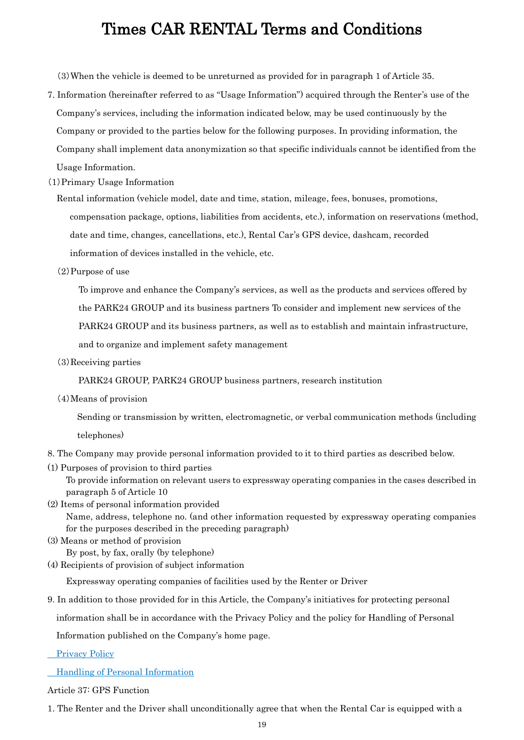(3)When the vehicle is deemed to be unreturned as provided for in paragraph 1 of Article 35.

7. Information (hereinafter referred to as "Usage Information") acquired through the Renter's use of the Company's services, including the information indicated below, may be used continuously by the Company or provided to the parties below for the following purposes. In providing information, the Company shall implement data anonymization so that specific individuals cannot be identified from the

Usage Information.

- (1)Primary Usage Information
	- Rental information (vehicle model, date and time, station, mileage, fees, bonuses, promotions, compensation package, options, liabilities from accidents, etc.), information on reservations (method, date and time, changes, cancellations, etc.), Rental Car's GPS device, dashcam, recorded information of devices installed in the vehicle, etc.
	- (2)Purpose of use

To improve and enhance the Company's services, as well as the products and services offered by

the PARK24 GROUP and its business partners To consider and implement new services of the

PARK24 GROUP and its business partners, as well as to establish and maintain infrastructure,

and to organize and implement safety management

(3)Receiving parties

PARK24 GROUP, PARK24 GROUP business partners, research institution

(4)Means of provision

Sending or transmission by written, electromagnetic, or verbal communication methods (including telephones)

- 8. The Company may provide personal information provided to it to third parties as described below.
- (1) Purposes of provision to third parties

To provide information on relevant users to expressway operating companies in the cases described in paragraph 5 of Article 10

- (2) Items of personal information provided Name, address, telephone no. (and other information requested by expressway operating companies for the purposes described in the preceding paragraph)
- (3) Means or method of provision By post, by fax, orally (by telephone)
- (4) Recipients of provision of subject information

Expressway operating companies of facilities used by the Renter or Driver

9. In addition to those provided for in this Article, the Company's initiatives for protecting personal

information shall be in accordance with the Privacy Policy and the policy for Handling of Personal

Information published on the Company's home page.

Privacy Policy

Handling of Personal Information

Article 37: GPS Function

1. The Renter and the Driver shall unconditionally agree that when the Rental Car is equipped with a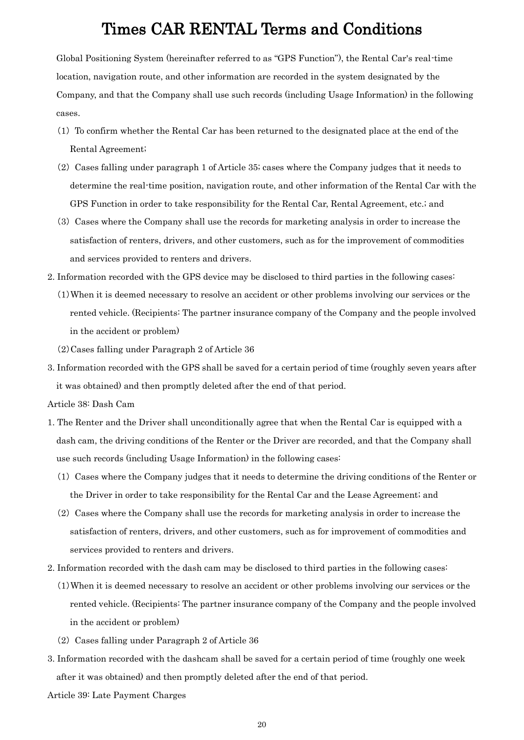Global Positioning System (hereinafter referred to as "GPS Function"), the Rental Car's real-time location, navigation route, and other information are recorded in the system designated by the Company, and that the Company shall use such records (including Usage Information) in the following cases.

- (1) To confirm whether the Rental Car has been returned to the designated place at the end of the Rental Agreement;
- (2) Cases falling under paragraph 1 of Article 35; cases where the Company judges that it needs to determine the real-time position, navigation route, and other information of the Rental Car with the GPS Function in order to take responsibility for the Rental Car, Rental Agreement, etc.; and
- (3) Cases where the Company shall use the records for marketing analysis in order to increase the satisfaction of renters, drivers, and other customers, such as for the improvement of commodities and services provided to renters and drivers.
- 2. Information recorded with the GPS device may be disclosed to third parties in the following cases:
	- (1)When it is deemed necessary to resolve an accident or other problems involving our services or the rented vehicle. (Recipients: The partner insurance company of the Company and the people involved in the accident or problem)
	- (2)Cases falling under Paragraph 2 of Article 36
- 3. Information recorded with the GPS shall be saved for a certain period of time (roughly seven years after it was obtained) and then promptly deleted after the end of that period.
- Article 38: Dash Cam
- 1. The Renter and the Driver shall unconditionally agree that when the Rental Car is equipped with a dash cam, the driving conditions of the Renter or the Driver are recorded, and that the Company shall use such records (including Usage Information) in the following cases:
	- (1) Cases where the Company judges that it needs to determine the driving conditions of the Renter or the Driver in order to take responsibility for the Rental Car and the Lease Agreement; and
	- (2) Cases where the Company shall use the records for marketing analysis in order to increase the satisfaction of renters, drivers, and other customers, such as for improvement of commodities and services provided to renters and drivers.
- 2. Information recorded with the dash cam may be disclosed to third parties in the following cases:
	- (1)When it is deemed necessary to resolve an accident or other problems involving our services or the rented vehicle. (Recipients: The partner insurance company of the Company and the people involved in the accident or problem)
	- (2) Cases falling under Paragraph 2 of Article 36
- 3. Information recorded with the dashcam shall be saved for a certain period of time (roughly one week after it was obtained) and then promptly deleted after the end of that period.
- Article 39: Late Payment Charges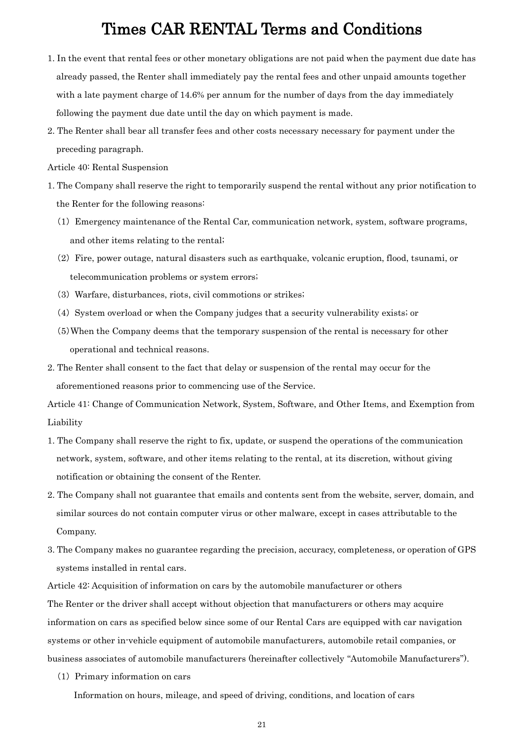- 1. In the event that rental fees or other monetary obligations are not paid when the payment due date has already passed, the Renter shall immediately pay the rental fees and other unpaid amounts together with a late payment charge of 14.6% per annum for the number of days from the day immediately following the payment due date until the day on which payment is made.
- 2. The Renter shall bear all transfer fees and other costs necessary necessary for payment under the preceding paragraph.

Article 40: Rental Suspension

- 1. The Company shall reserve the right to temporarily suspend the rental without any prior notification to the Renter for the following reasons:
	- (1) Emergency maintenance of the Rental Car, communication network, system, software programs, and other items relating to the rental;
	- (2) Fire, power outage, natural disasters such as earthquake, volcanic eruption, flood, tsunami, or telecommunication problems or system errors;
	- (3) Warfare, disturbances, riots, civil commotions or strikes;
	- (4) System overload or when the Company judges that a security vulnerability exists; or
	- (5)When the Company deems that the temporary suspension of the rental is necessary for other operational and technical reasons.
- 2. The Renter shall consent to the fact that delay or suspension of the rental may occur for the aforementioned reasons prior to commencing use of the Service.

Article 41: Change of Communication Network, System, Software, and Other Items, and Exemption from Liability

- 1. The Company shall reserve the right to fix, update, or suspend the operations of the communication network, system, software, and other items relating to the rental, at its discretion, without giving notification or obtaining the consent of the Renter.
- 2. The Company shall not guarantee that emails and contents sent from the website, server, domain, and similar sources do not contain computer virus or other malware, except in cases attributable to the Company.
- 3. The Company makes no guarantee regarding the precision, accuracy, completeness, or operation of GPS systems installed in rental cars.

Article 42: Acquisition of information on cars by the automobile manufacturer or others

The Renter or the driver shall accept without objection that manufacturers or others may acquire information on cars as specified below since some of our Rental Cars are equipped with car navigation systems or other in-vehicle equipment of automobile manufacturers, automobile retail companies, or business associates of automobile manufacturers (hereinafter collectively "Automobile Manufacturers").

(1) Primary information on cars

Information on hours, mileage, and speed of driving, conditions, and location of cars

21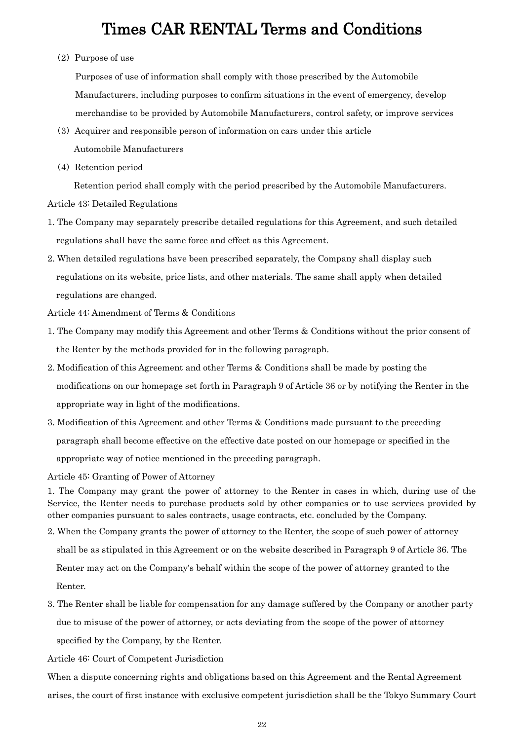#### (2) Purpose of use

Purposes of use of information shall comply with those prescribed by the Automobile Manufacturers, including purposes to confirm situations in the event of emergency, develop merchandise to be provided by Automobile Manufacturers, control safety, or improve services

- (3) Acquirer and responsible person of information on cars under this article Automobile Manufacturers
- (4) Retention period

Retention period shall comply with the period prescribed by the Automobile Manufacturers.

Article 43: Detailed Regulations

- 1. The Company may separately prescribe detailed regulations for this Agreement, and such detailed regulations shall have the same force and effect as this Agreement.
- 2. When detailed regulations have been prescribed separately, the Company shall display such regulations on its website, price lists, and other materials. The same shall apply when detailed regulations are changed.

Article 44: Amendment of Terms & Conditions

- 1. The Company may modify this Agreement and other Terms & Conditions without the prior consent of the Renter by the methods provided for in the following paragraph.
- 2. Modification of this Agreement and other Terms & Conditions shall be made by posting the modifications on our homepage set forth in Paragraph 9 of Article 36 or by notifying the Renter in the appropriate way in light of the modifications.
- 3. Modification of this Agreement and other Terms & Conditions made pursuant to the preceding paragraph shall become effective on the effective date posted on our homepage or specified in the appropriate way of notice mentioned in the preceding paragraph.

Article 45: Granting of Power of Attorney

1. The Company may grant the power of attorney to the Renter in cases in which, during use of the Service, the Renter needs to purchase products sold by other companies or to use services provided by other companies pursuant to sales contracts, usage contracts, etc. concluded by the Company.

- 2. When the Company grants the power of attorney to the Renter, the scope of such power of attorney shall be as stipulated in this Agreement or on the website described in Paragraph 9 of Article 36. The Renter may act on the Company's behalf within the scope of the power of attorney granted to the Renter.
- 3. The Renter shall be liable for compensation for any damage suffered by the Company or another party due to misuse of the power of attorney, or acts deviating from the scope of the power of attorney specified by the Company, by the Renter.

Article 46: Court of Competent Jurisdiction

When a dispute concerning rights and obligations based on this Agreement and the Rental Agreement arises, the court of first instance with exclusive competent jurisdiction shall be the Tokyo Summary Court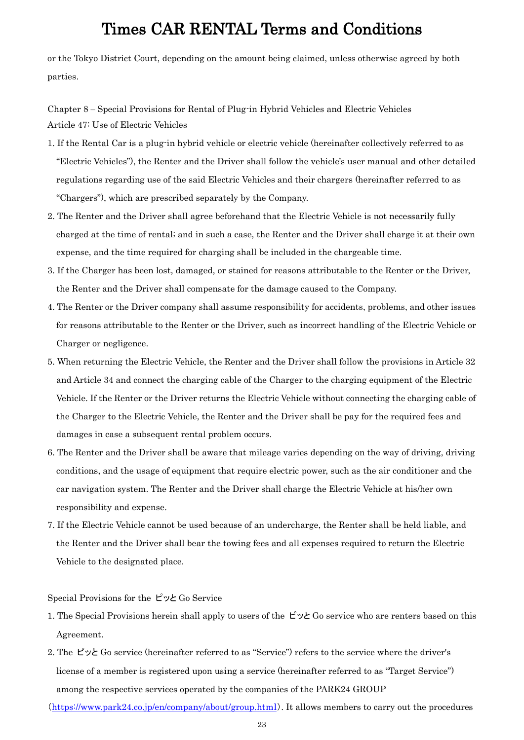or the Tokyo District Court, depending on the amount being claimed, unless otherwise agreed by both parties.

Chapter 8 ‒ Special Provisions for Rental of Plug-in Hybrid Vehicles and Electric Vehicles Article 47: Use of Electric Vehicles

- 1. If the Rental Car is a plug-in hybrid vehicle or electric vehicle (hereinafter collectively referred to as "Electric Vehicles"), the Renter and the Driver shall follow the vehicle's user manual and other detailed regulations regarding use of the said Electric Vehicles and their chargers (hereinafter referred to as "Chargers"), which are prescribed separately by the Company.
- 2. The Renter and the Driver shall agree beforehand that the Electric Vehicle is not necessarily fully charged at the time of rental; and in such a case, the Renter and the Driver shall charge it at their own expense, and the time required for charging shall be included in the chargeable time.
- 3. If the Charger has been lost, damaged, or stained for reasons attributable to the Renter or the Driver, the Renter and the Driver shall compensate for the damage caused to the Company.
- 4. The Renter or the Driver company shall assume responsibility for accidents, problems, and other issues for reasons attributable to the Renter or the Driver, such as incorrect handling of the Electric Vehicle or Charger or negligence.
- 5. When returning the Electric Vehicle, the Renter and the Driver shall follow the provisions in Article 32 and Article 34 and connect the charging cable of the Charger to the charging equipment of the Electric Vehicle. If the Renter or the Driver returns the Electric Vehicle without connecting the charging cable of the Charger to the Electric Vehicle, the Renter and the Driver shall be pay for the required fees and damages in case a subsequent rental problem occurs.
- 6. The Renter and the Driver shall be aware that mileage varies depending on the way of driving, driving conditions, and the usage of equipment that require electric power, such as the air conditioner and the car navigation system. The Renter and the Driver shall charge the Electric Vehicle at his/her own responsibility and expense.
- 7. If the Electric Vehicle cannot be used because of an undercharge, the Renter shall be held liable, and the Renter and the Driver shall bear the towing fees and all expenses required to return the Electric Vehicle to the designated place.

Special Provisions for the ピッと Go Service

- 1. The Special Provisions herein shall apply to users of the ピッと Go service who are renters based on this Agreement.
- 2. The ピッと Go service (hereinafter referred to as "Service") refers to the service where the driver's license of a member is registered upon using a service (hereinafter referred to as "Target Service") among the respective services operated by the companies of the PARK24 GROUP

(<https://www.park24.co.jp/en/company/about/group.html>). It allows members to carry out the procedures